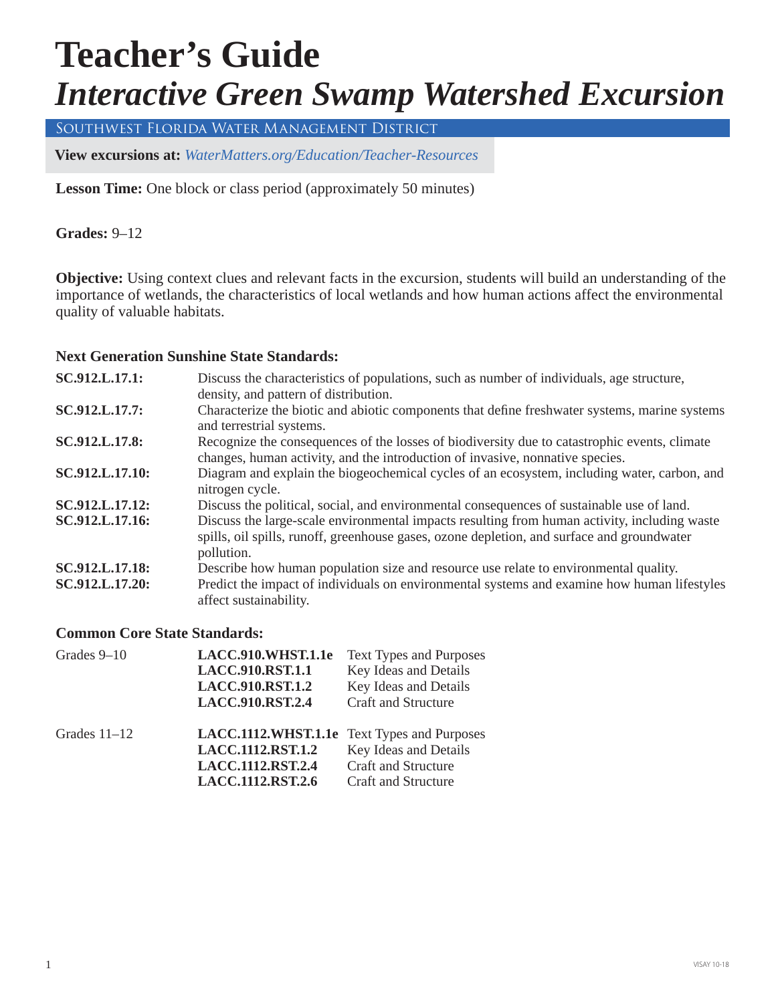# **Teacher's Guide** *Interactive Green Swamp Watershed Excursion*

Southwest Florida Water Management District

**View excursions at:** *[WaterMatters.org/Education/Teacher-Resources](https://www.swfwmd.state.fl.us/residents/education/teacher-resources)*

 **Lesson Time:** One block or class period (approximately 50 minutes)

 **Grades:** 9–12

**Objective:** Using context clues and relevant facts in the excursion, students will build an understanding of the importance of wetlands, the characteristics of local wetlands and how human actions affect the environmental quality of valuable habitats.

#### **Next Generation Sunshine State Standards:**

| SC.912.L.17.1:  | Discuss the characteristics of populations, such as number of individuals, age structure,<br>density, and pattern of distribution.                                                                       |
|-----------------|----------------------------------------------------------------------------------------------------------------------------------------------------------------------------------------------------------|
| SC.912.L.17.7:  | Characterize the biotic and abiotic components that define freshwater systems, marine systems<br>and terrestrial systems.                                                                                |
| SC.912.L.17.8:  | Recognize the consequences of the losses of biodiversity due to catastrophic events, climate<br>changes, human activity, and the introduction of invasive, nonnative species.                            |
| SC.912.L.17.10: | Diagram and explain the biogeochemical cycles of an ecosystem, including water, carbon, and<br>nitrogen cycle.                                                                                           |
| SC.912.L.17.12: | Discuss the political, social, and environmental consequences of sustainable use of land.                                                                                                                |
| SC.912.L.17.16: | Discuss the large-scale environmental impacts resulting from human activity, including waste<br>spills, oil spills, runoff, greenhouse gases, ozone depletion, and surface and groundwater<br>pollution. |
| SC.912.L.17.18: | Describe how human population size and resource use relate to environmental quality.                                                                                                                     |
| SC.912.L.17.20: | Predict the impact of individuals on environmental systems and examine how human lifestyles<br>affect sustainability.                                                                                    |

#### **Common Core State Standards:**

| Grades $9-10$  | LACC.910.WHST.1.1e                          | <b>Text Types and Purposes</b> |
|----------------|---------------------------------------------|--------------------------------|
|                | <b>LACC.910.RST.1.1</b>                     | Key Ideas and Details          |
|                | <b>LACC.910.RST.1.2</b>                     | Key Ideas and Details          |
|                | <b>LACC.910.RST.2.4</b>                     | <b>Craft and Structure</b>     |
| Grades $11-12$ | LACC.1112.WHST.1.1e Text Types and Purposes |                                |
|                | LACC.1112.RST.1.2                           | Key Ideas and Details          |
|                | LACC.1112.RST.2.4                           | Craft and Structure            |
|                | LACC.1112.RST.2.6                           | <b>Craft and Structure</b>     |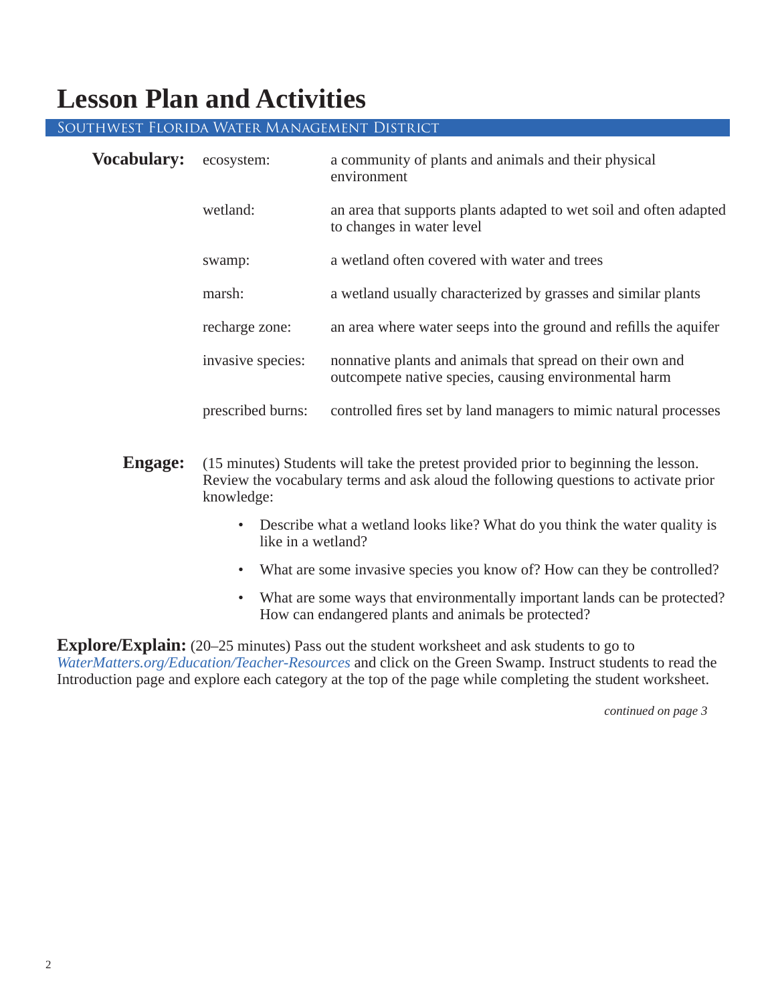# **Lesson Plan and Activities**

#### Southwest Florida Water Management District

| <b>Vocabulary:</b> | ecosystem:        | a community of plants and animals and their physical<br>environment                                                |
|--------------------|-------------------|--------------------------------------------------------------------------------------------------------------------|
|                    | wetland:          | an area that supports plants adapted to wet soil and often adapted<br>to changes in water level                    |
|                    | swamp:            | a wetland often covered with water and trees                                                                       |
|                    | marsh:            | a wetland usually characterized by grasses and similar plants                                                      |
|                    | recharge zone:    | an area where water seeps into the ground and refills the aquifer                                                  |
|                    | invasive species: | nonnative plants and animals that spread on their own and<br>outcompete native species, causing environmental harm |
|                    | prescribed burns: | controlled fires set by land managers to mimic natural processes                                                   |

- **Engage:** (15 minutes) Students will take the pretest provided prior to beginning the lesson. Review the vocabulary terms and ask aloud the following questions to activate prior knowledge:
	- Describe what a wetland looks like? What do you think the water quality is like in a wetland?
	- What are some invasive species you know of? How can they be controlled?
	- What are some ways that environmentally important lands can be protected? How can endangered plants and animals be protected?

**Explore/Explain:** (20–25 minutes) Pass out the student worksheet and ask students to go to *[WaterMatters.org/Education/Teacher-Resources](https://www.swfwmd.state.fl.us/residents/education/teacher-resources)* and click on the Green Swamp. Instruct students to read the Introduction page and explore each category at the top of the page while completing the student worksheet.

 *continued on page 3*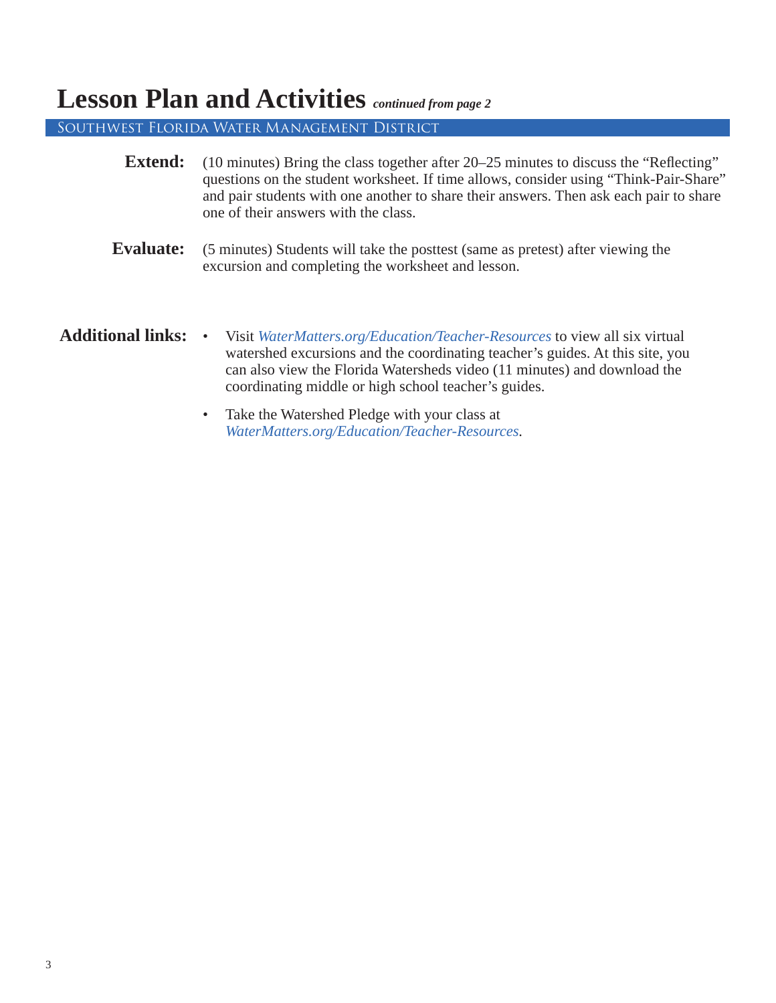# **Lesson Plan and Activities** *continued from page 2*

Southwest Florida Water Management District

| <b>Extend:</b><br>(10 minutes) Bring the class together after 20–25 minutes to discuss the "Reflecting"<br>questions on the student worksheet. If time allows, consider using "Think-Pair-Share"<br>and pair students with one another to share their answers. Then ask each pair to share<br>one of their answers with the class. |                                                                                                                                                                                                                                                                                                              |  |  |
|------------------------------------------------------------------------------------------------------------------------------------------------------------------------------------------------------------------------------------------------------------------------------------------------------------------------------------|--------------------------------------------------------------------------------------------------------------------------------------------------------------------------------------------------------------------------------------------------------------------------------------------------------------|--|--|
| <b>Evaluate:</b>                                                                                                                                                                                                                                                                                                                   | (5 minutes) Students will take the posttest (same as pretest) after viewing the<br>excursion and completing the worksheet and lesson.                                                                                                                                                                        |  |  |
| <b>Additional links:</b>                                                                                                                                                                                                                                                                                                           | Visit WaterMatters.org/Education/Teacher-Resources to view all six virtual<br>$\bullet$<br>watershed excursions and the coordinating teacher's guides. At this site, you<br>can also view the Florida Watersheds video (11 minutes) and download the<br>coordinating middle or high school teacher's guides. |  |  |
|                                                                                                                                                                                                                                                                                                                                    | Take the Watershed Pledge with your class at<br>$\bullet$<br>WaterMatters.org/Education/Teacher-Resources.                                                                                                                                                                                                   |  |  |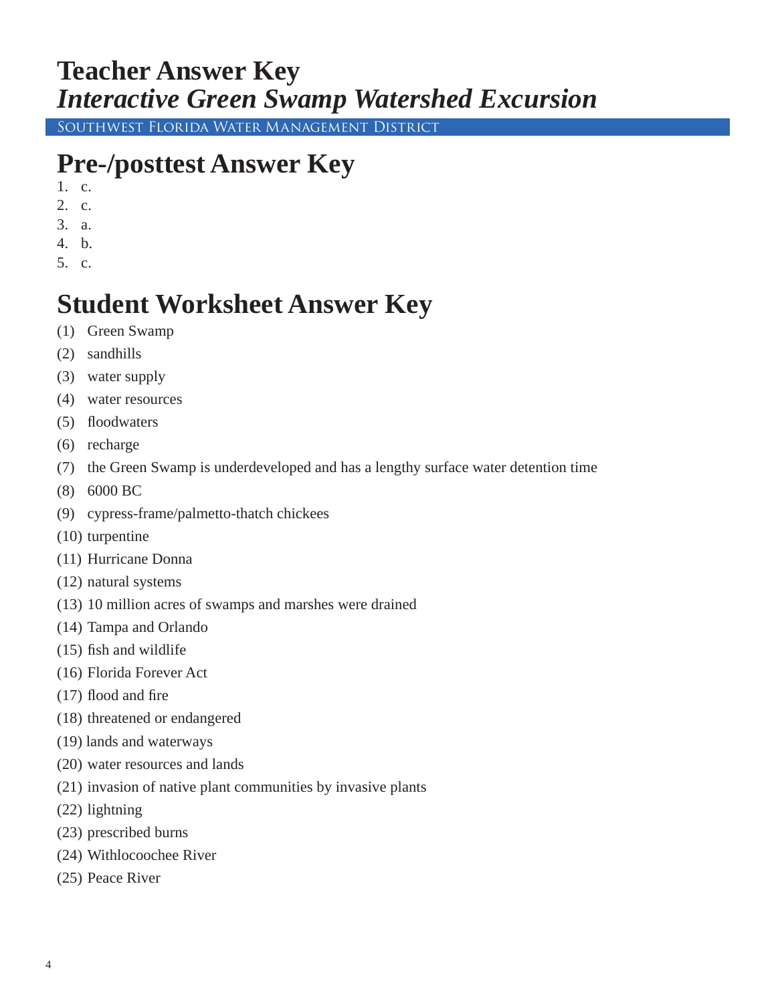# **Teacher Answer Key** *Interactive Green Swamp Watershed Excursion*

Southwest Florida Water Management District

# **Pre-/posttest Answer Key**

- 1. c.
- 2. c.
- 3. a.
- 4. b.
- 5. c.

# **Student Worksheet Answer Key**

- (1) Green Swamp
- (2) sandhills
- (3) water supply
- (4) water resources
- (5) floodwaters
- (6) recharge
- (7) the Green Swamp is underdeveloped and has a lengthy surface water detention time
- (8) 6000 BC
- (9) cypress-frame/palmetto-thatch chickees
- (10) turpentine
- (11) Hurricane Donna
- (12) natural systems
- (13) 10 million acres of swamps and marshes were drained
- (14) Tampa and Orlando
- $(15)$  fish and wildlife
- (16) Florida Forever Act
- $(17)$  flood and fire
- (18) threatened or endangered
- (19) lands and waterways
- (20) water resources and lands
- (21) invasion of native plant communities by invasive plants
- (22) lightning
- (23) prescribed burns
- (24) Withlocoochee River
- (25) Peace River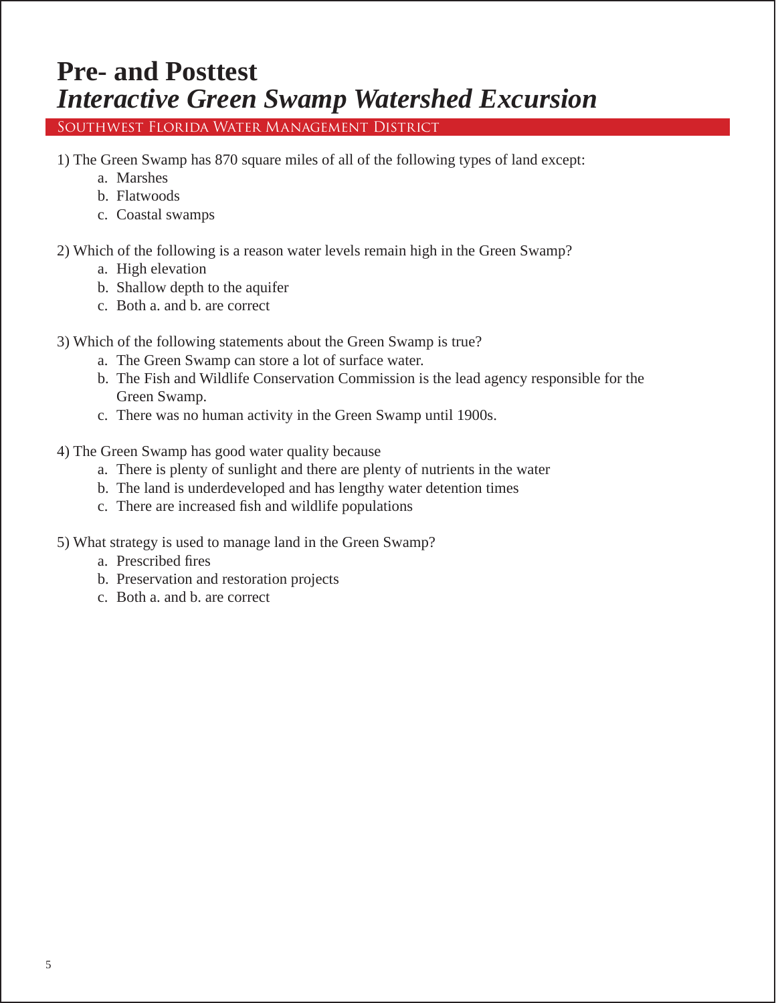# **Pre- and Posttest** *Interactive Green Swamp Watershed Excursion*

Southwest Florida Water Management District

- 1) The Green Swamp has 870 square miles of all of the following types of land except:
	- a. Marshes
	- b. Flatwoods
	- c. Coastal swamps
- 2) Which of the following is a reason water levels remain high in the Green Swamp?
	- a. High elevation
	- b. Shallow depth to the aquifer
	- c. Both a. and b. are correct
- 3) Which of the following statements about the Green Swamp is true?
	- a. The Green Swamp can store a lot of surface water.
	- b. The Fish and Wildlife Conservation Commission is the lead agency responsible for the Green Swamp.
	- c. There was no human activity in the Green Swamp until 1900s.
- 4) The Green Swamp has good water quality because
	- a. There is plenty of sunlight and there are plenty of nutrients in the water
	- b. The land is underdeveloped and has lengthy water detention times
	- c. There are increased fish and wildlife populations
- 5) What strategy is used to manage land in the Green Swamp?
	- a. Prescribed fires
	- b. Preservation and restoration projects
	- c. Both a. and b. are correct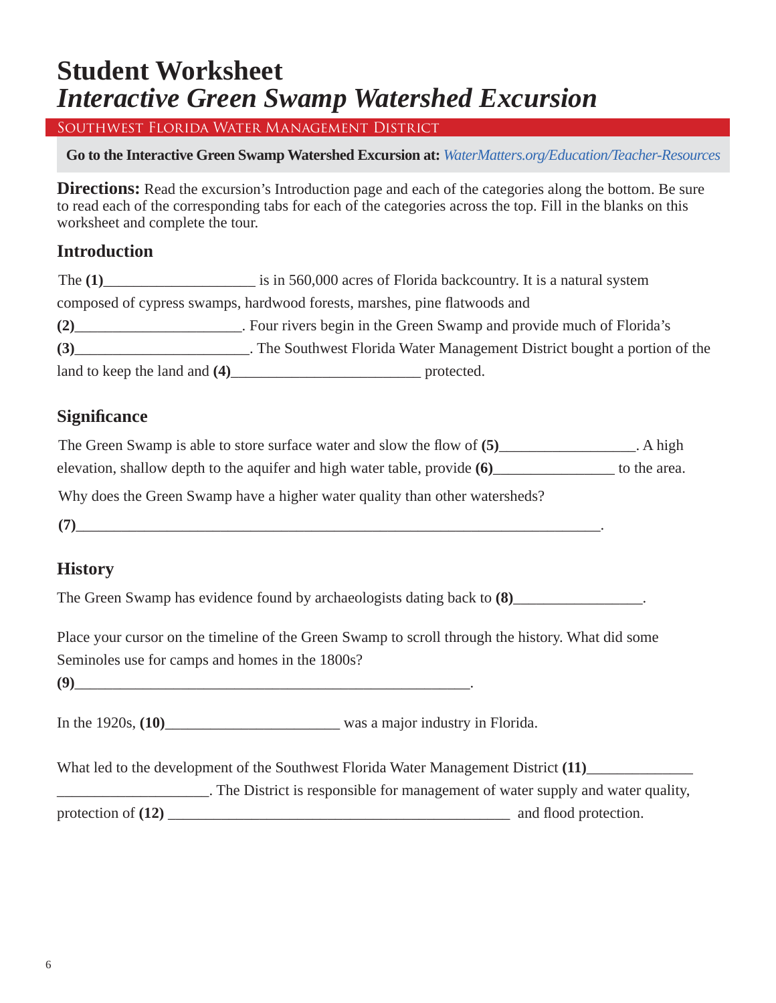### **Student Worksheet**  *Interactive Green Swamp Watershed Excursion*

Southwest Florida Water Management District

**Go to the Interactive Green Swamp Watershed Excursion at:** *[WaterMatters.org/Education/Teacher-Resources](https://www.swfwmd.state.fl.us/residents/education/teacher-resources)*

**Directions:** Read the excursion's Introduction page and each of the categories along the bottom. Be sure to read each of the corresponding tabs for each of the categories across the top. Fill in the blanks on this worksheet and complete the tour.

### **Introduction**

| The $(1)$                     | is in 560,000 acres of Florida backcountry. It is a natural system        |
|-------------------------------|---------------------------------------------------------------------------|
|                               | composed of cypress swamps, hardwood forests, marshes, pine flatwoods and |
| (2)                           | . Four rivers begin in the Green Swamp and provide much of Florida's      |
| (3)                           | . The Southwest Florida Water Management District bought a portion of the |
| land to keep the land and (4) | protected.                                                                |

### **Signifi cance**

| The Green Swamp is able to store surface water and slow the flow of (5)   | . A high     |
|---------------------------------------------------------------------------|--------------|
| elevation, shallow depth to the aquifer and high water table, provide (6) | to the area. |

Why does the Green Swamp have a higher water quality than other watersheds?

 $(7)$ 

### **History**

The Green Swamp has evidence found by archaeologists dating back to  $(8)$ \_\_\_\_\_\_\_\_\_\_\_\_\_\_\_\_.

Place your cursor on the timeline of the Green Swamp to scroll through the history. What did some Seminoles use for camps and homes in the 1800s?

**(9)**\_\_\_\_\_\_\_\_\_\_\_\_\_\_\_\_\_\_\_\_\_\_\_\_\_\_\_\_\_\_\_\_\_\_\_\_\_\_\_\_\_\_\_\_\_\_\_\_\_\_\_\_.

In the 1920s, **(10)**\_\_\_\_\_\_\_\_\_\_\_\_\_\_\_\_\_\_\_\_\_\_\_ was a major industry in Florida.

What led to the development of the Southwest Florida Water Management District **(11)**\_\_\_\_\_\_\_\_\_\_\_\_\_\_

\_\_\_\_\_\_\_\_\_\_\_\_\_\_\_\_\_\_\_\_. The District is responsible for management of water supply and water quality, protection of **(12)** \_\_\_\_\_\_\_\_\_\_\_\_\_\_\_\_\_\_\_\_\_\_\_\_\_\_\_\_\_\_\_\_\_\_\_\_\_\_\_\_\_\_\_\_\_ and fl ood protection.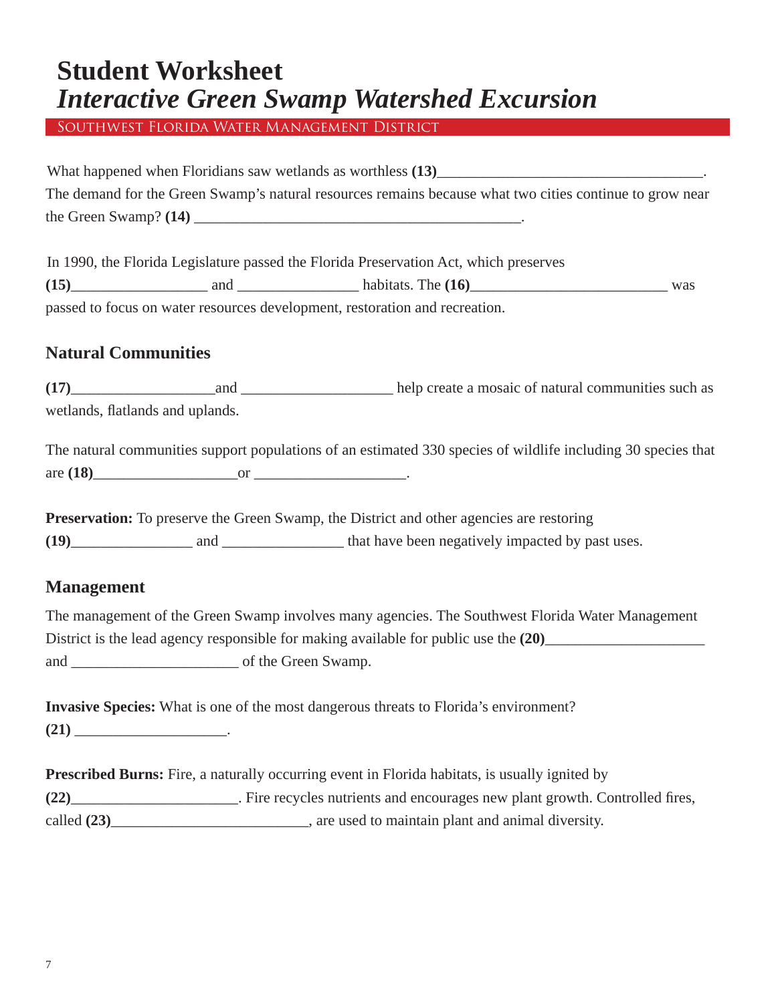### **Student Worksheet** *Interactive Green Swamp Watershed Excursion*

Southwest Florida Water Management District

What happened when Floridians saw wetlands as worthless **(13)**\_\_\_\_\_\_\_\_\_\_\_\_\_\_\_\_\_\_\_\_\_\_\_\_\_\_\_\_\_\_\_\_\_\_\_. The demand for the Green Swamp's natural resources remains because what two cities continue to grow near the Green Swamp? **(14)** \_\_\_\_\_\_\_\_\_\_\_\_\_\_\_\_\_\_\_\_\_\_\_\_\_\_\_\_\_\_\_\_\_\_\_\_\_\_\_\_\_\_\_.

In 1990, the Florida Legislature passed the Florida Preservation Act, which preserves

| (15) | and | habitats. The $(16)$                                                        | was |
|------|-----|-----------------------------------------------------------------------------|-----|
|      |     | passed to focus on water resources development, restoration and recreation. |     |

### **Natural Communities**

**(17)**\_\_\_\_\_\_\_\_\_\_\_\_\_\_\_\_\_\_\_and \_\_\_\_\_\_\_\_\_\_\_\_\_\_\_\_\_\_\_\_ help create a mosaic of natural communities such as wetlands, flatlands and uplands.

|            | The natural communities support populations of an estimated 330 species of wildlife including 30 species that |  |  |
|------------|---------------------------------------------------------------------------------------------------------------|--|--|
| are $(18)$ |                                                                                                               |  |  |

|      |     | <b>Preservation:</b> To preserve the Green Swamp, the District and other agencies are restoring |
|------|-----|-------------------------------------------------------------------------------------------------|
| (19) | and | that have been negatively impacted by past uses.                                                |

### **Management**

The management of the Green Swamp involves many agencies. The Southwest Florida Water Management District is the lead agency responsible for making available for public use the **(20)**\_\_\_\_\_\_\_\_\_\_\_\_\_\_\_\_\_\_\_\_\_ and \_\_\_\_\_\_\_\_\_\_\_\_\_\_\_\_\_\_\_\_\_\_ of the Green Swamp.

|      | <b>Invasive Species:</b> What is one of the most dangerous threats to Florida's environment? |
|------|----------------------------------------------------------------------------------------------|
| (21) |                                                                                              |

| <b>Prescribed Burns:</b> Fire, a naturally occurring event in Florida habitats, is usually ignited by |                                                                              |  |  |
|-------------------------------------------------------------------------------------------------------|------------------------------------------------------------------------------|--|--|
| (22)                                                                                                  | . Fire recycles nutrients and encourages new plant growth. Controlled fires, |  |  |
| called $(23)$                                                                                         | , are used to maintain plant and animal diversity.                           |  |  |